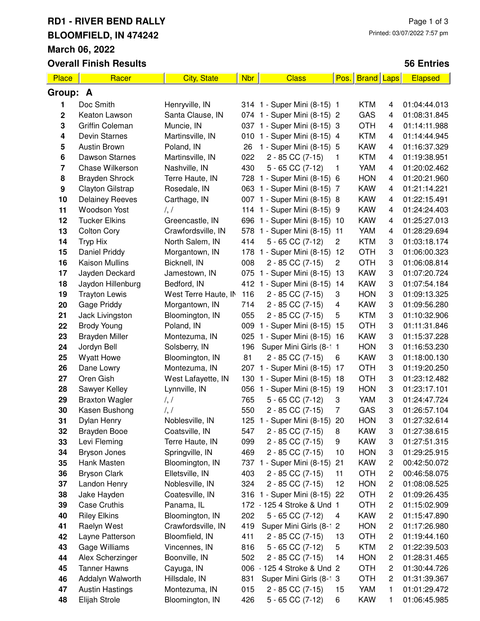### **RD1 - RIVER BEND RALLY BLOOMFIELD, IN 474242 March 06, 2022**

**Overall Finish Results**

#### **56 Entries**

| <b>Place</b>     | Racer                  | <b>City, State</b>   | Nbr | <b>Class</b>                 | Pos.           | <b>Brand Laps</b> |                         | <b>Elapsed</b> |
|------------------|------------------------|----------------------|-----|------------------------------|----------------|-------------------|-------------------------|----------------|
| Group: A         |                        |                      |     |                              |                |                   |                         |                |
| 1                | Doc Smith              | Henryville, IN       |     | 314 1 - Super Mini (8-15) 1  |                | <b>KTM</b>        | 4                       | 01:04:44.013   |
| $\mathbf 2$      | Keaton Lawson          | Santa Clause, IN     |     | 074 1 - Super Mini (8-15) 2  |                | GAS               | 4                       | 01:08:31.845   |
| 3                | Griffin Coleman        | Muncie, IN           |     | 037 1 - Super Mini (8-15) 3  |                | <b>OTH</b>        | 4                       | 01:14:11.988   |
| 4                | Devin Starnes          | Martinsville, IN     | 010 | 1 - Super Mini (8-15) 4      |                | <b>KTM</b>        | 4                       | 01:14:44.945   |
| 5                | <b>Austin Brown</b>    | Poland, IN           | 26  | 1 - Super Mini (8-15) 5      |                | <b>KAW</b>        | 4                       | 01:16:37.329   |
| 6                | Dawson Starnes         | Martinsville, IN     | 022 | 2 - 85 CC (7-15)             | 1              | <b>KTM</b>        | 4                       | 01:19:38.951   |
| 7                | Chase Wilkerson        | Nashville, IN        | 430 | $5 - 65$ CC $(7-12)$         | 1              | YAM               | 4                       | 01:20:02.462   |
| 8                | <b>Brayden Shrock</b>  | Terre Haute, IN      |     | 728 1 - Super Mini (8-15) 6  |                | <b>HON</b>        | 4                       | 01:20:21.960   |
| $\boldsymbol{9}$ | Clayton Gilstrap       | Rosedale, IN         |     | 063 1 - Super Mini (8-15) 7  |                | <b>KAW</b>        | 4                       | 01:21:14.221   |
| 10               | <b>Delainey Reeves</b> | Carthage, IN         | 007 | 1 - Super Mini (8-15) 8      |                | <b>KAW</b>        | 4                       | 01:22:15.491   |
| 11               | Woodson Yost           | $\frac{1}{2}$        | 114 | 1 - Super Mini (8-15) 9      |                | <b>KAW</b>        | 4                       | 01:24:24.403   |
| 12               | <b>Tucker Elkins</b>   | Greencastle, IN      | 696 | 1 - Super Mini (8-15) 10     |                | <b>KAW</b>        | 4                       | 01:25:27.013   |
| 13               | <b>Colton Cory</b>     | Crawfordsville, IN   | 578 | 1 - Super Mini (8-15) 11     |                | YAM               | 4                       | 01:28:29.694   |
| 14               | Tryp Hix               | North Salem, IN      | 414 | $5 - 65$ CC $(7-12)$         | 2              | <b>KTM</b>        | 3                       | 01:03:18.174   |
| 15               | Daniel Priddy          | Morgantown, IN       | 178 | 1 - Super Mini (8-15)        | 12             | <b>OTH</b>        | 3                       | 01:06:00.323   |
| 16               | <b>Kaison Mullins</b>  | Bicknell, IN         | 008 | 2 - 85 CC (7-15)             | $\overline{c}$ | <b>OTH</b>        | 3                       | 01:06:08.814   |
| 17               | Jayden Deckard         | Jamestown, IN        | 075 | 1 - Super Mini (8-15) 13     |                | <b>KAW</b>        | 3                       | 01:07:20.724   |
| 18               | Jaydon Hillenburg      | Bedford, IN          |     | 412 1 - Super Mini (8-15) 14 |                | <b>KAW</b>        | 3                       | 01:07:54.184   |
| 19               | <b>Trayton Lewis</b>   | West Terre Haute, IN | 116 | 2 - 85 CC (7-15)             | 3              | <b>HON</b>        | 3                       | 01:09:13.325   |
| 20               | Gage Priddy            | Morgantown, IN       | 714 | 2 - 85 CC (7-15)             | 4              | <b>KAW</b>        | 3                       | 01:09:56.280   |
| 21               | Jack Livingston        | Bloomington, IN      | 055 | 2 - 85 CC (7-15)             | 5              | <b>KTM</b>        | 3                       | 01:10:32.906   |
| 22               | <b>Brody Young</b>     | Poland, IN           | 009 | 1 - Super Mini (8-15)        | 15             | <b>OTH</b>        | 3                       | 01:11:31.846   |
| 23               | <b>Brayden Miller</b>  | Montezuma, IN        | 025 | 1 - Super Mini (8-15) 16     |                | <b>KAW</b>        | 3                       | 01:15:37.228   |
| 24               | Jordyn Bell            | Solsberry, IN        | 196 | Super Mini Girls (8-1 1      |                | <b>HON</b>        | 3                       | 01:16:53.230   |
| 25               | <b>Wyatt Howe</b>      | Bloomington, IN      | 81  | 2 - 85 CC (7-15)             | 6              | <b>KAW</b>        | 3                       | 01:18:00.130   |
| 26               | Dane Lowry             | Montezuma, IN        | 207 | 1 - Super Mini (8-15) 17     |                | <b>OTH</b>        | 3                       | 01:19:20.250   |
| 27               | Oren Gish              | West Lafayette, IN   | 130 | 1 - Super Mini (8-15) 18     |                | <b>OTH</b>        | 3                       | 01:23:12.482   |
| 28               | Sawyer Kelley          | Lynnville, IN        | 056 | 1 - Super Mini (8-15)        | 19             | <b>HON</b>        | 3                       | 01:23:17.101   |
| 29               | <b>Braxton Wagler</b>  | $\frac{1}{2}$        | 765 | $5 - 65$ CC $(7-12)$         | 3              | YAM               | 3                       | 01:24:47.724   |
| 30               | Kasen Bushong          | $\frac{1}{2}$        | 550 | 2 - 85 CC (7-15)             | $\overline{7}$ | GAS               | 3                       | 01:26:57.104   |
| 31               | Dylan Henry            | Noblesville, IN      | 125 | 1 - Super Mini (8-15)        | 20             | <b>HON</b>        | 3                       | 01:27:32.614   |
| 32               | Brayden Booe           | Coatsville, IN       | 547 | 2 - 85 CC (7-15)             | 8              | <b>KAW</b>        | 3                       | 01:27:38.615   |
| 33               | Levi Fleming           | Terre Haute, IN      | 099 | 2 - 85 CC (7-15)             | 9              | <b>KAW</b>        | 3                       | 01:27:51.315   |
| 34               | Bryson Jones           | Springville, IN      | 469 | 2 - 85 CC (7-15)             | 10             | <b>HON</b>        | 3                       | 01:29:25.915   |
| 35               | Hank Masten            | Bloomington, IN      |     | 737 1 - Super Mini (8-15)    | 21             | <b>KAW</b>        | 2                       | 00:42:50.072   |
| 36               | <b>Bryson Clark</b>    | Elletsville, IN      | 403 | 2 - 85 CC (7-15)             | 11             | <b>OTH</b>        | 2                       | 00:46:58.075   |
| 37               | Landon Henry           | Noblesville, IN      | 324 | 2 - 85 CC (7-15)             | 12             | <b>HON</b>        | 2                       | 01:08:08.525   |
| 38               | Jake Hayden            | Coatesville, IN      | 316 | 1 - Super Mini (8-15)        | 22             | <b>OTH</b>        | $\overline{\mathbf{c}}$ | 01:09:26.435   |
| 39               | Case Cruthis           | Panama, IL           |     | 172 - 125 4 Stroke & Und 1   |                | <b>OTH</b>        | $\overline{\mathbf{c}}$ | 01:15:02.909   |
| 40               | <b>Riley Elkins</b>    | Bloomington, IN      | 202 | $5 - 65$ CC $(7-12)$         | 4              | <b>KAW</b>        | $\overline{\mathbf{c}}$ | 01:15:47.890   |
| 41               | Raelyn West            | Crawfordsville, IN   | 419 | Super Mini Girls (8-1 2      |                | <b>HON</b>        | $\overline{c}$          | 01:17:26.980   |
| 42               | Layne Patterson        | Bloomfield, IN       | 411 | 2 - 85 CC (7-15)             | 13             | <b>OTH</b>        | $\overline{\mathbf{c}}$ | 01:19:44.160   |
| 43               | Gage Williams          | Vincennes, IN        | 816 | $5 - 65$ CC $(7-12)$         | 5              | <b>KTM</b>        | 2                       | 01:22:39.503   |
| 44               | Alex Scherzinger       | Boonville, IN        | 502 | 2 - 85 CC (7-15)             | 14             | <b>HON</b>        | $\overline{\mathbf{c}}$ | 01:28:31.465   |
| 45               | <b>Tanner Hawns</b>    | Cayuga, IN           | 006 | - 125 4 Stroke & Und 2       |                | <b>OTH</b>        | 2                       | 01:30:44.726   |
| 46               | Addalyn Walworth       | Hillsdale, IN        | 831 | Super Mini Girls (8-1 3      |                | <b>OTH</b>        | 2                       | 01:31:39.367   |
| 47               | <b>Austin Hastings</b> | Montezuma, IN        | 015 | 2 - 85 CC (7-15)             | 15             | YAM               | 1                       | 01:01:29.472   |
| 48               | Elijah Strole          | Bloomington, IN      | 426 | $5 - 65$ CC $(7-12)$         | 6              | <b>KAW</b>        | 1                       | 01:06:45.985   |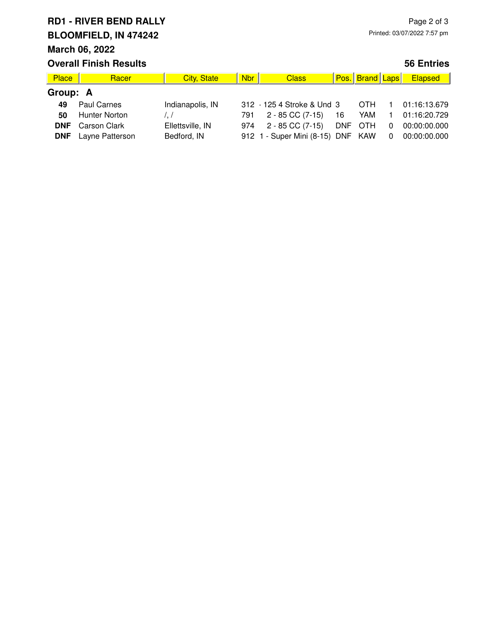# **RD1 - RIVER BEND RALLY BLOOMFIELD, IN 474242**

## **March 06, 2022**

| <b>Overall Finish Results</b> |                     |                    |            |                            |            |                        |   | <b>56 Entries</b> |
|-------------------------------|---------------------|--------------------|------------|----------------------------|------------|------------------------|---|-------------------|
| <b>Place</b>                  | Racer               | <b>City, State</b> | <b>Nbr</b> | <b>Class</b>               |            | <b>Pos. Brand Laps</b> |   | <b>Elapsed</b>    |
| Group: A                      |                     |                    |            |                            |            |                        |   |                   |
| 49                            | Paul Carnes         | Indianapolis, IN   |            | 312 - 125 4 Stroke & Und 3 |            | <b>OTH</b>             |   | 01:16:13.679      |
| 50                            | Hunter Norton       |                    | 791        | $2 - 85$ CC (7-15)         | 16         | YAM                    |   | 01:16:20.729      |
| DNF                           | <b>Carson Clark</b> | Ellettsville, IN   | 974        | $2 - 85$ CC $(7-15)$       | <b>DNF</b> | OTH                    | 0 | 00:00:00.000      |

| ndianapolis, IN  | $312 - 125$   |                |
|------------------|---------------|----------------|
| $\cdot$ /        | 791.          | $\overline{2}$ |
| Ellettsville, IN | 974           | $\mathcal{P}$  |
| Bedford, IN      | $912 \t1 - S$ |                |
|                  |               |                |

| 49 Paul Carnes             | Indianapolis, IN |               |  | OTH.                       |                              | 01:16:13.679                                                                                   |
|----------------------------|------------------|---------------|--|----------------------------|------------------------------|------------------------------------------------------------------------------------------------|
| 50 Hunter Norton           |                  |               |  |                            |                              |                                                                                                |
| <b>DNF</b> Carson Clark    | Ellettsville, IN |               |  |                            |                              | 0 00:00:00.000                                                                                 |
| <b>DNF</b> Layne Patterson | Bedford, IN      |               |  |                            |                              |                                                                                                |
|                            |                  | $\frac{1}{2}$ |  | 312 · 125 4 Stroke & Und 3 | 974 2 - 85 CC (7-15) DNF OTH | 791 2 - 85 CC (7-15) 16 YAM 1 01:16:20.729<br>912 1 - Super Mini (8-15) DNF KAW 0 00:00:00.000 |